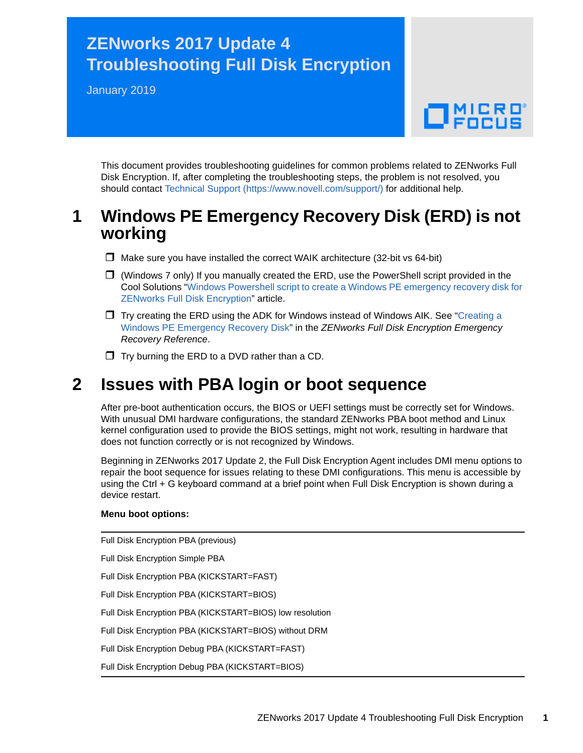# **ZENworks 2017 Update 4 Troubleshooting Full Disk Encryption**

January 2019

# $\Box$ MICRO

This document provides troubleshooting guidelines for common problems related to ZENworks Full Disk Encryption. If, after completing the troubleshooting steps, the problem is not resolved, you should contact [Technical Support](https://www.novell.com/support/) (https://www.novell.com/support/) for additional help.

## **1 Windows PE Emergency Recovery Disk (ERD) is not working**

- $\Box$  Make sure you have installed the correct WAIK architecture (32-bit vs 64-bit)
- $\Box$  (Windows 7 only) If you manually created the ERD, use the PowerShell script provided in the Cool Solutions "[Windows Powershell script to create a Windows PE emergency recovery disk for](https://www.novell.com/communities/coolsolutions/cool_tools/windows-powershell-script-create-windows-pe-emergency-recovery-disk-zenworks-full-disk-en/)  [ZENworks Full Disk Encryption](https://www.novell.com/communities/coolsolutions/cool_tools/windows-powershell-script-create-windows-pe-emergency-recovery-disk-zenworks-full-disk-en/)" article.
- $\Box$  Try creating the ERD using the ADK for Windows instead of Windows AIK. See "Creating a Windows PE Emergency Recovery Disk" in the *ZENworks Full Disk Encryption Emergency Recovery Reference*.
- $\Box$  Try burning the ERD to a DVD rather than a CD.

## **2 Issues with PBA login or boot sequence**

After pre-boot authentication occurs, the BIOS or UEFI settings must be correctly set for Windows. With unusual DMI hardware configurations, the standard ZENworks PBA boot method and Linux kernel configuration used to provide the BIOS settings, might not work, resulting in hardware that does not function correctly or is not recognized by Windows.

Beginning in ZENworks 2017 Update 2, the Full Disk Encryption Agent includes DMI menu options to repair the boot sequence for issues relating to these DMI configurations. This menu is accessible by using the Ctrl + G keyboard command at a brief point when Full Disk Encryption is shown during a device restart.

#### **Menu boot options:**

Full Disk Encryption PBA (previous) Full Disk Encryption Simple PBA Full Disk Encryption PBA (KICKSTART=FAST) Full Disk Encryption PBA (KICKSTART=BIOS) Full Disk Encryption PBA (KICKSTART=BIOS) low resolution Full Disk Encryption PBA (KICKSTART=BIOS) without DRM Full Disk Encryption Debug PBA (KICKSTART=FAST) Full Disk Encryption Debug PBA (KICKSTART=BIOS)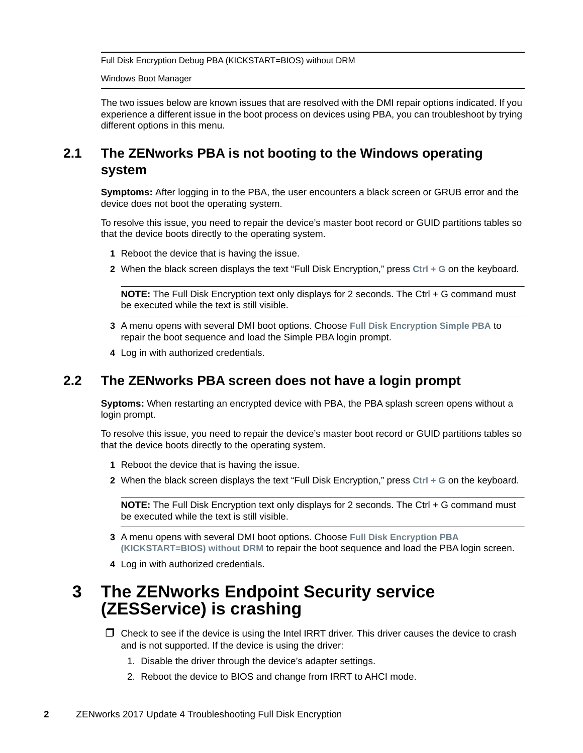Full Disk Encryption Debug PBA (KICKSTART=BIOS) without DRM

Windows Boot Manager

The two issues below are known issues that are resolved with the DMI repair options indicated. If you experience a different issue in the boot process on devices using PBA, you can troubleshoot by trying different options in this menu.

## **2.1 The ZENworks PBA is not booting to the Windows operating system**

**Symptoms:** After logging in to the PBA, the user encounters a black screen or GRUB error and the device does not boot the operating system.

To resolve this issue, you need to repair the device's master boot record or GUID partitions tables so that the device boots directly to the operating system.

- **1** Reboot the device that is having the issue.
- **2** When the black screen displays the text "Full Disk Encryption," press **Ctrl + G** on the keyboard.

**NOTE:** The Full Disk Encryption text only displays for 2 seconds. The Ctrl + G command must be executed while the text is still visible.

- **3** A menu opens with several DMI boot options. Choose **Full Disk Encryption Simple PBA** to repair the boot sequence and load the Simple PBA login prompt.
- **4** Log in with authorized credentials.

### **2.2 The ZENworks PBA screen does not have a login prompt**

**Syptoms:** When restarting an encrypted device with PBA, the PBA splash screen opens without a login prompt.

To resolve this issue, you need to repair the device's master boot record or GUID partitions tables so that the device boots directly to the operating system.

- **1** Reboot the device that is having the issue.
- **2** When the black screen displays the text "Full Disk Encryption," press **Ctrl + G** on the keyboard.

**NOTE:** The Full Disk Encryption text only displays for 2 seconds. The Ctrl + G command must be executed while the text is still visible.

- **3** A menu opens with several DMI boot options. Choose **Full Disk Encryption PBA (KICKSTART=BIOS) without DRM** to repair the boot sequence and load the PBA login screen.
- **4** Log in with authorized credentials.

## **3 The ZENworks Endpoint Security service (ZESService) is crashing**

 $\Box$  Check to see if the device is using the Intel IRRT driver. This driver causes the device to crash and is not supported. If the device is using the driver:

- 1. Disable the driver through the device's adapter settings.
- 2. Reboot the device to BIOS and change from IRRT to AHCI mode.